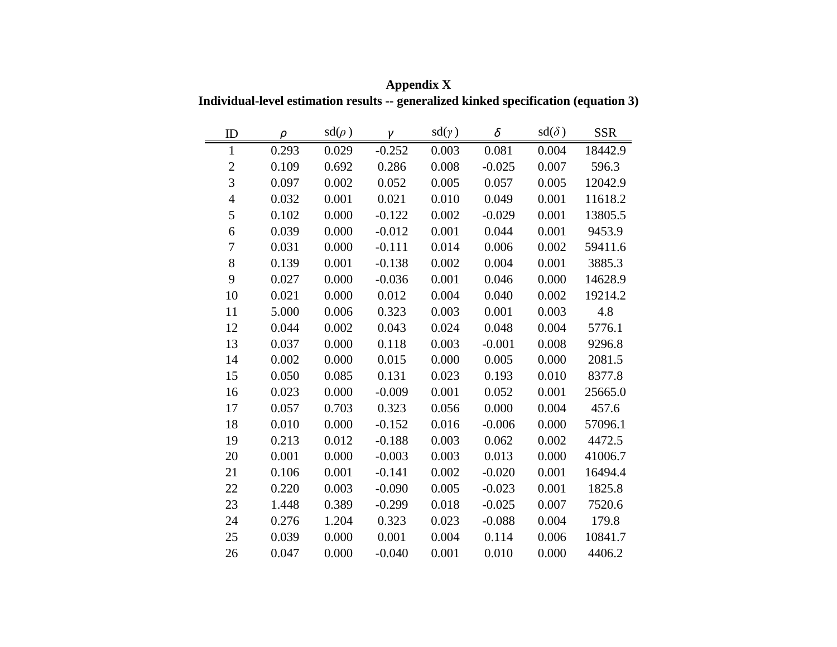| ID               | $\rho$ | $sd(\rho)$ | γ        | $sd(\gamma)$ | δ        | $sd(\delta)$ | <b>SSR</b> |
|------------------|--------|------------|----------|--------------|----------|--------------|------------|
| $\mathbf{1}$     | 0.293  | 0.029      | $-0.252$ | 0.003        | 0.081    | 0.004        | 18442.9    |
| $\boldsymbol{2}$ | 0.109  | 0.692      | 0.286    | 0.008        | $-0.025$ | 0.007        | 596.3      |
| $\overline{3}$   | 0.097  | 0.002      | 0.052    | 0.005        | 0.057    | 0.005        | 12042.9    |
| $\overline{4}$   | 0.032  | 0.001      | 0.021    | 0.010        | 0.049    | 0.001        | 11618.2    |
| 5                | 0.102  | 0.000      | $-0.122$ | 0.002        | $-0.029$ | 0.001        | 13805.5    |
| 6                | 0.039  | 0.000      | $-0.012$ | 0.001        | 0.044    | 0.001        | 9453.9     |
| 7                | 0.031  | 0.000      | $-0.111$ | 0.014        | 0.006    | 0.002        | 59411.6    |
| 8                | 0.139  | 0.001      | $-0.138$ | 0.002        | 0.004    | 0.001        | 3885.3     |
| 9                | 0.027  | 0.000      | $-0.036$ | 0.001        | 0.046    | 0.000        | 14628.9    |
| 10               | 0.021  | 0.000      | 0.012    | 0.004        | 0.040    | 0.002        | 19214.2    |
| 11               | 5.000  | 0.006      | 0.323    | 0.003        | 0.001    | 0.003        | 4.8        |
| 12               | 0.044  | 0.002      | 0.043    | 0.024        | 0.048    | 0.004        | 5776.1     |
| 13               | 0.037  | 0.000      | 0.118    | 0.003        | $-0.001$ | 0.008        | 9296.8     |
| 14               | 0.002  | 0.000      | 0.015    | 0.000        | 0.005    | 0.000        | 2081.5     |
| 15               | 0.050  | 0.085      | 0.131    | 0.023        | 0.193    | 0.010        | 8377.8     |
| 16               | 0.023  | 0.000      | $-0.009$ | 0.001        | 0.052    | 0.001        | 25665.0    |
| 17               | 0.057  | 0.703      | 0.323    | 0.056        | 0.000    | 0.004        | 457.6      |
| 18               | 0.010  | 0.000      | $-0.152$ | 0.016        | $-0.006$ | 0.000        | 57096.1    |
| 19               | 0.213  | 0.012      | $-0.188$ | 0.003        | 0.062    | 0.002        | 4472.5     |
| 20               | 0.001  | 0.000      | $-0.003$ | 0.003        | 0.013    | 0.000        | 41006.7    |
| 21               | 0.106  | 0.001      | $-0.141$ | 0.002        | $-0.020$ | 0.001        | 16494.4    |
| 22               | 0.220  | 0.003      | $-0.090$ | 0.005        | $-0.023$ | 0.001        | 1825.8     |
| 23               | 1.448  | 0.389      | $-0.299$ | 0.018        | $-0.025$ | 0.007        | 7520.6     |
| 24               | 0.276  | 1.204      | 0.323    | 0.023        | $-0.088$ | 0.004        | 179.8      |
| 25               | 0.039  | 0.000      | 0.001    | 0.004        | 0.114    | 0.006        | 10841.7    |
| 26               | 0.047  | 0.000      | $-0.040$ | 0.001        | 0.010    | 0.000        | 4406.2     |

**Appendix X Individual-level estimation results -- generalized kinked specification (equation 3)**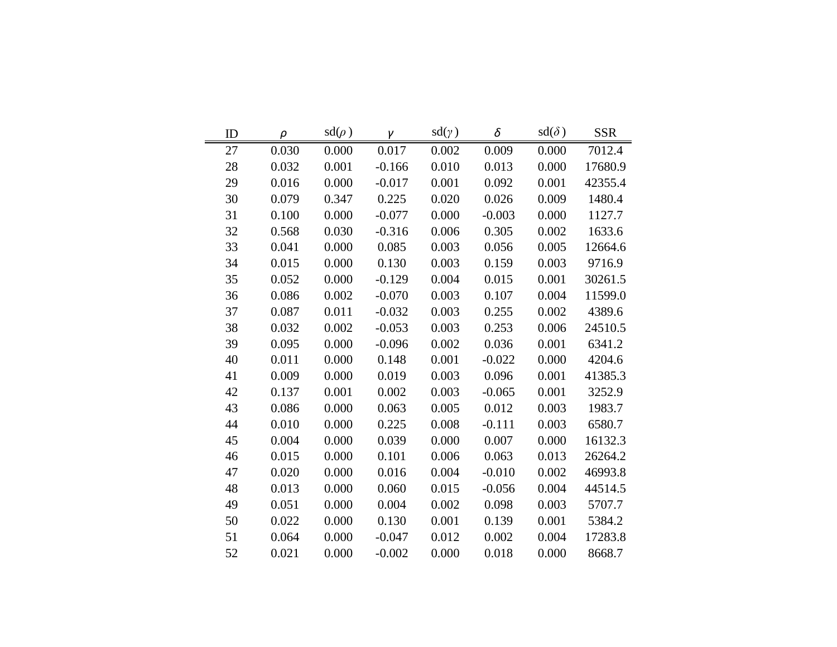| ID | $\rho$ | $sd(\rho)$ | $\mathcal{V}$ | $sd(\gamma)$ | δ        | $sd(\delta)$ | <b>SSR</b> |
|----|--------|------------|---------------|--------------|----------|--------------|------------|
| 27 | 0.030  | 0.000      | 0.017         | 0.002        | 0.009    | 0.000        | 7012.4     |
| 28 | 0.032  | 0.001      | $-0.166$      | 0.010        | 0.013    | 0.000        | 17680.9    |
| 29 | 0.016  | 0.000      | $-0.017$      | 0.001        | 0.092    | 0.001        | 42355.4    |
| 30 | 0.079  | 0.347      | 0.225         | 0.020        | 0.026    | 0.009        | 1480.4     |
| 31 | 0.100  | 0.000      | $-0.077$      | 0.000        | $-0.003$ | 0.000        | 1127.7     |
| 32 | 0.568  | 0.030      | $-0.316$      | 0.006        | 0.305    | 0.002        | 1633.6     |
| 33 | 0.041  | 0.000      | 0.085         | 0.003        | 0.056    | 0.005        | 12664.6    |
| 34 | 0.015  | 0.000      | 0.130         | 0.003        | 0.159    | 0.003        | 9716.9     |
| 35 | 0.052  | 0.000      | $-0.129$      | 0.004        | 0.015    | 0.001        | 30261.5    |
| 36 | 0.086  | 0.002      | $-0.070$      | 0.003        | 0.107    | 0.004        | 11599.0    |
| 37 | 0.087  | 0.011      | $-0.032$      | 0.003        | 0.255    | 0.002        | 4389.6     |
| 38 | 0.032  | 0.002      | $-0.053$      | 0.003        | 0.253    | 0.006        | 24510.5    |
| 39 | 0.095  | 0.000      | $-0.096$      | 0.002        | 0.036    | 0.001        | 6341.2     |
| 40 | 0.011  | 0.000      | 0.148         | 0.001        | $-0.022$ | 0.000        | 4204.6     |
| 41 | 0.009  | 0.000      | 0.019         | 0.003        | 0.096    | 0.001        | 41385.3    |
| 42 | 0.137  | 0.001      | 0.002         | 0.003        | $-0.065$ | 0.001        | 3252.9     |
| 43 | 0.086  | 0.000      | 0.063         | 0.005        | 0.012    | 0.003        | 1983.7     |
| 44 | 0.010  | 0.000      | 0.225         | 0.008        | $-0.111$ | 0.003        | 6580.7     |
| 45 | 0.004  | 0.000      | 0.039         | 0.000        | 0.007    | 0.000        | 16132.3    |
| 46 | 0.015  | 0.000      | 0.101         | 0.006        | 0.063    | 0.013        | 26264.2    |
| 47 | 0.020  | 0.000      | 0.016         | 0.004        | $-0.010$ | 0.002        | 46993.8    |
| 48 | 0.013  | 0.000      | 0.060         | 0.015        | $-0.056$ | 0.004        | 44514.5    |
| 49 | 0.051  | 0.000      | 0.004         | 0.002        | 0.098    | 0.003        | 5707.7     |
| 50 | 0.022  | 0.000      | 0.130         | 0.001        | 0.139    | 0.001        | 5384.2     |
| 51 | 0.064  | 0.000      | $-0.047$      | 0.012        | 0.002    | 0.004        | 17283.8    |
| 52 | 0.021  | 0.000      | $-0.002$      | 0.000        | 0.018    | 0.000        | 8668.7     |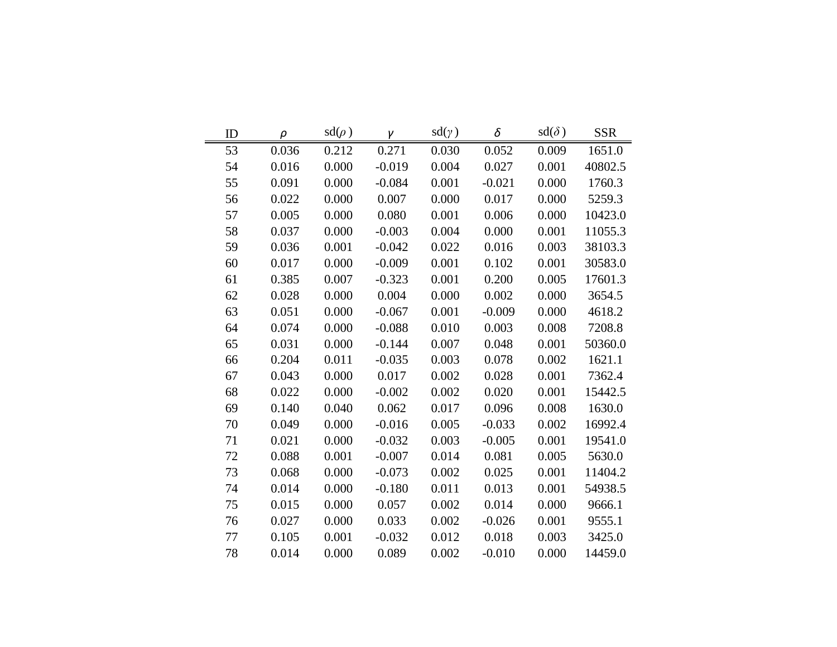| ID | $\rho$ | $sd(\rho)$ | γ        | $sd(\gamma)$ | δ        | $sd(\delta)$ | <b>SSR</b> |
|----|--------|------------|----------|--------------|----------|--------------|------------|
| 53 | 0.036  | 0.212      | 0.271    | 0.030        | 0.052    | 0.009        | 1651.0     |
| 54 | 0.016  | 0.000      | $-0.019$ | 0.004        | 0.027    | 0.001        | 40802.5    |
| 55 | 0.091  | 0.000      | $-0.084$ | 0.001        | $-0.021$ | 0.000        | 1760.3     |
| 56 | 0.022  | 0.000      | 0.007    | 0.000        | 0.017    | 0.000        | 5259.3     |
| 57 | 0.005  | 0.000      | 0.080    | 0.001        | 0.006    | 0.000        | 10423.0    |
| 58 | 0.037  | 0.000      | $-0.003$ | 0.004        | 0.000    | 0.001        | 11055.3    |
| 59 | 0.036  | 0.001      | $-0.042$ | 0.022        | 0.016    | 0.003        | 38103.3    |
| 60 | 0.017  | 0.000      | $-0.009$ | 0.001        | 0.102    | 0.001        | 30583.0    |
| 61 | 0.385  | 0.007      | $-0.323$ | 0.001        | 0.200    | 0.005        | 17601.3    |
| 62 | 0.028  | 0.000      | 0.004    | 0.000        | 0.002    | 0.000        | 3654.5     |
| 63 | 0.051  | 0.000      | $-0.067$ | 0.001        | $-0.009$ | 0.000        | 4618.2     |
| 64 | 0.074  | 0.000      | $-0.088$ | 0.010        | 0.003    | 0.008        | 7208.8     |
| 65 | 0.031  | 0.000      | $-0.144$ | 0.007        | 0.048    | 0.001        | 50360.0    |
| 66 | 0.204  | 0.011      | $-0.035$ | 0.003        | 0.078    | 0.002        | 1621.1     |
| 67 | 0.043  | 0.000      | 0.017    | 0.002        | 0.028    | 0.001        | 7362.4     |
| 68 | 0.022  | 0.000      | $-0.002$ | 0.002        | 0.020    | 0.001        | 15442.5    |
| 69 | 0.140  | 0.040      | 0.062    | 0.017        | 0.096    | 0.008        | 1630.0     |
| 70 | 0.049  | 0.000      | $-0.016$ | 0.005        | $-0.033$ | 0.002        | 16992.4    |
| 71 | 0.021  | 0.000      | $-0.032$ | 0.003        | $-0.005$ | 0.001        | 19541.0    |
| 72 | 0.088  | 0.001      | $-0.007$ | 0.014        | 0.081    | 0.005        | 5630.0     |
| 73 | 0.068  | 0.000      | $-0.073$ | 0.002        | 0.025    | 0.001        | 11404.2    |
| 74 | 0.014  | 0.000      | $-0.180$ | 0.011        | 0.013    | 0.001        | 54938.5    |
| 75 | 0.015  | 0.000      | 0.057    | 0.002        | 0.014    | 0.000        | 9666.1     |
| 76 | 0.027  | 0.000      | 0.033    | 0.002        | $-0.026$ | 0.001        | 9555.1     |
| 77 | 0.105  | 0.001      | $-0.032$ | 0.012        | 0.018    | 0.003        | 3425.0     |
| 78 | 0.014  | 0.000      | 0.089    | 0.002        | $-0.010$ | 0.000        | 14459.0    |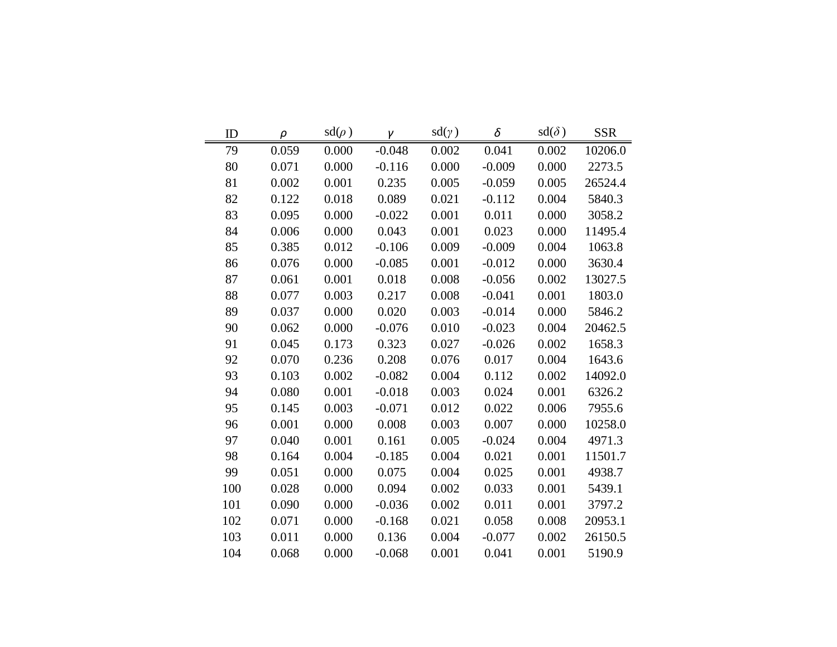| ID  | $\rho$ | $sd(\rho)$ | γ        | $sd(\gamma)$ | δ        | $sd(\delta)$ | <b>SSR</b> |
|-----|--------|------------|----------|--------------|----------|--------------|------------|
| 79  | 0.059  | 0.000      | $-0.048$ | 0.002        | 0.041    | 0.002        | 10206.0    |
| 80  | 0.071  | 0.000      | $-0.116$ | 0.000        | $-0.009$ | 0.000        | 2273.5     |
| 81  | 0.002  | 0.001      | 0.235    | 0.005        | $-0.059$ | 0.005        | 26524.4    |
| 82  | 0.122  | 0.018      | 0.089    | 0.021        | $-0.112$ | 0.004        | 5840.3     |
| 83  | 0.095  | 0.000      | $-0.022$ | 0.001        | 0.011    | 0.000        | 3058.2     |
| 84  | 0.006  | 0.000      | 0.043    | 0.001        | 0.023    | 0.000        | 11495.4    |
| 85  | 0.385  | 0.012      | $-0.106$ | 0.009        | $-0.009$ | 0.004        | 1063.8     |
| 86  | 0.076  | 0.000      | $-0.085$ | 0.001        | $-0.012$ | 0.000        | 3630.4     |
| 87  | 0.061  | 0.001      | 0.018    | 0.008        | $-0.056$ | 0.002        | 13027.5    |
| 88  | 0.077  | 0.003      | 0.217    | 0.008        | $-0.041$ | 0.001        | 1803.0     |
| 89  | 0.037  | 0.000      | 0.020    | 0.003        | $-0.014$ | 0.000        | 5846.2     |
| 90  | 0.062  | 0.000      | $-0.076$ | 0.010        | $-0.023$ | 0.004        | 20462.5    |
| 91  | 0.045  | 0.173      | 0.323    | 0.027        | $-0.026$ | 0.002        | 1658.3     |
| 92  | 0.070  | 0.236      | 0.208    | 0.076        | 0.017    | 0.004        | 1643.6     |
| 93  | 0.103  | 0.002      | $-0.082$ | 0.004        | 0.112    | 0.002        | 14092.0    |
| 94  | 0.080  | 0.001      | $-0.018$ | 0.003        | 0.024    | 0.001        | 6326.2     |
| 95  | 0.145  | 0.003      | $-0.071$ | 0.012        | 0.022    | 0.006        | 7955.6     |
| 96  | 0.001  | 0.000      | 0.008    | 0.003        | 0.007    | 0.000        | 10258.0    |
| 97  | 0.040  | 0.001      | 0.161    | 0.005        | $-0.024$ | 0.004        | 4971.3     |
| 98  | 0.164  | 0.004      | $-0.185$ | 0.004        | 0.021    | 0.001        | 11501.7    |
| 99  | 0.051  | 0.000      | 0.075    | 0.004        | 0.025    | 0.001        | 4938.7     |
| 100 | 0.028  | 0.000      | 0.094    | 0.002        | 0.033    | 0.001        | 5439.1     |
| 101 | 0.090  | 0.000      | $-0.036$ | 0.002        | 0.011    | 0.001        | 3797.2     |
| 102 | 0.071  | 0.000      | $-0.168$ | 0.021        | 0.058    | 0.008        | 20953.1    |
| 103 | 0.011  | 0.000      | 0.136    | 0.004        | $-0.077$ | 0.002        | 26150.5    |
| 104 | 0.068  | 0.000      | $-0.068$ | 0.001        | 0.041    | 0.001        | 5190.9     |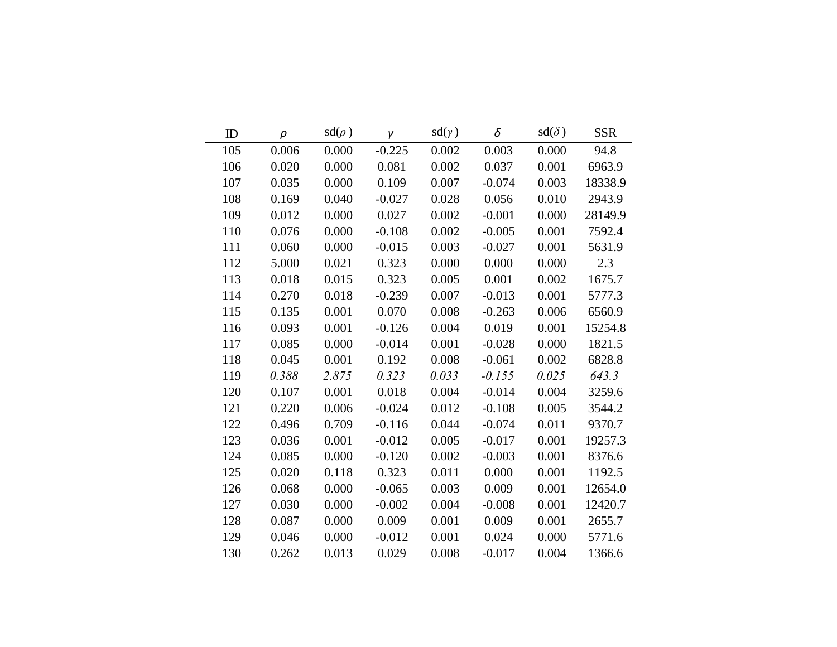| ID  | $\rho$ | $sd(\rho)$ | γ        | $sd(\gamma)$ | δ        | $sd(\delta)$ | <b>SSR</b> |
|-----|--------|------------|----------|--------------|----------|--------------|------------|
| 105 | 0.006  | 0.000      | $-0.225$ | 0.002        | 0.003    | 0.000        | 94.8       |
| 106 | 0.020  | 0.000      | 0.081    | 0.002        | 0.037    | 0.001        | 6963.9     |
| 107 | 0.035  | 0.000      | 0.109    | 0.007        | $-0.074$ | 0.003        | 18338.9    |
| 108 | 0.169  | 0.040      | $-0.027$ | 0.028        | 0.056    | 0.010        | 2943.9     |
| 109 | 0.012  | 0.000      | 0.027    | 0.002        | $-0.001$ | 0.000        | 28149.9    |
| 110 | 0.076  | 0.000      | $-0.108$ | 0.002        | $-0.005$ | 0.001        | 7592.4     |
| 111 | 0.060  | 0.000      | $-0.015$ | 0.003        | $-0.027$ | 0.001        | 5631.9     |
| 112 | 5.000  | 0.021      | 0.323    | 0.000        | 0.000    | 0.000        | 2.3        |
| 113 | 0.018  | 0.015      | 0.323    | 0.005        | 0.001    | 0.002        | 1675.7     |
| 114 | 0.270  | 0.018      | $-0.239$ | 0.007        | $-0.013$ | 0.001        | 5777.3     |
| 115 | 0.135  | 0.001      | 0.070    | 0.008        | $-0.263$ | 0.006        | 6560.9     |
| 116 | 0.093  | 0.001      | $-0.126$ | 0.004        | 0.019    | 0.001        | 15254.8    |
| 117 | 0.085  | 0.000      | $-0.014$ | 0.001        | $-0.028$ | 0.000        | 1821.5     |
| 118 | 0.045  | 0.001      | 0.192    | 0.008        | $-0.061$ | 0.002        | 6828.8     |
| 119 | 0.388  | 2.875      | 0.323    | 0.033        | $-0.155$ | 0.025        | 643.3      |
| 120 | 0.107  | 0.001      | 0.018    | 0.004        | $-0.014$ | 0.004        | 3259.6     |
| 121 | 0.220  | 0.006      | $-0.024$ | 0.012        | $-0.108$ | 0.005        | 3544.2     |
| 122 | 0.496  | 0.709      | $-0.116$ | 0.044        | $-0.074$ | 0.011        | 9370.7     |
| 123 | 0.036  | 0.001      | $-0.012$ | 0.005        | $-0.017$ | 0.001        | 19257.3    |
| 124 | 0.085  | 0.000      | $-0.120$ | 0.002        | $-0.003$ | 0.001        | 8376.6     |
| 125 | 0.020  | 0.118      | 0.323    | 0.011        | 0.000    | 0.001        | 1192.5     |
| 126 | 0.068  | 0.000      | $-0.065$ | 0.003        | 0.009    | 0.001        | 12654.0    |
| 127 | 0.030  | 0.000      | $-0.002$ | 0.004        | $-0.008$ | 0.001        | 12420.7    |
| 128 | 0.087  | 0.000      | 0.009    | 0.001        | 0.009    | 0.001        | 2655.7     |
| 129 | 0.046  | 0.000      | $-0.012$ | 0.001        | 0.024    | 0.000        | 5771.6     |
| 130 | 0.262  | 0.013      | 0.029    | 0.008        | $-0.017$ | 0.004        | 1366.6     |